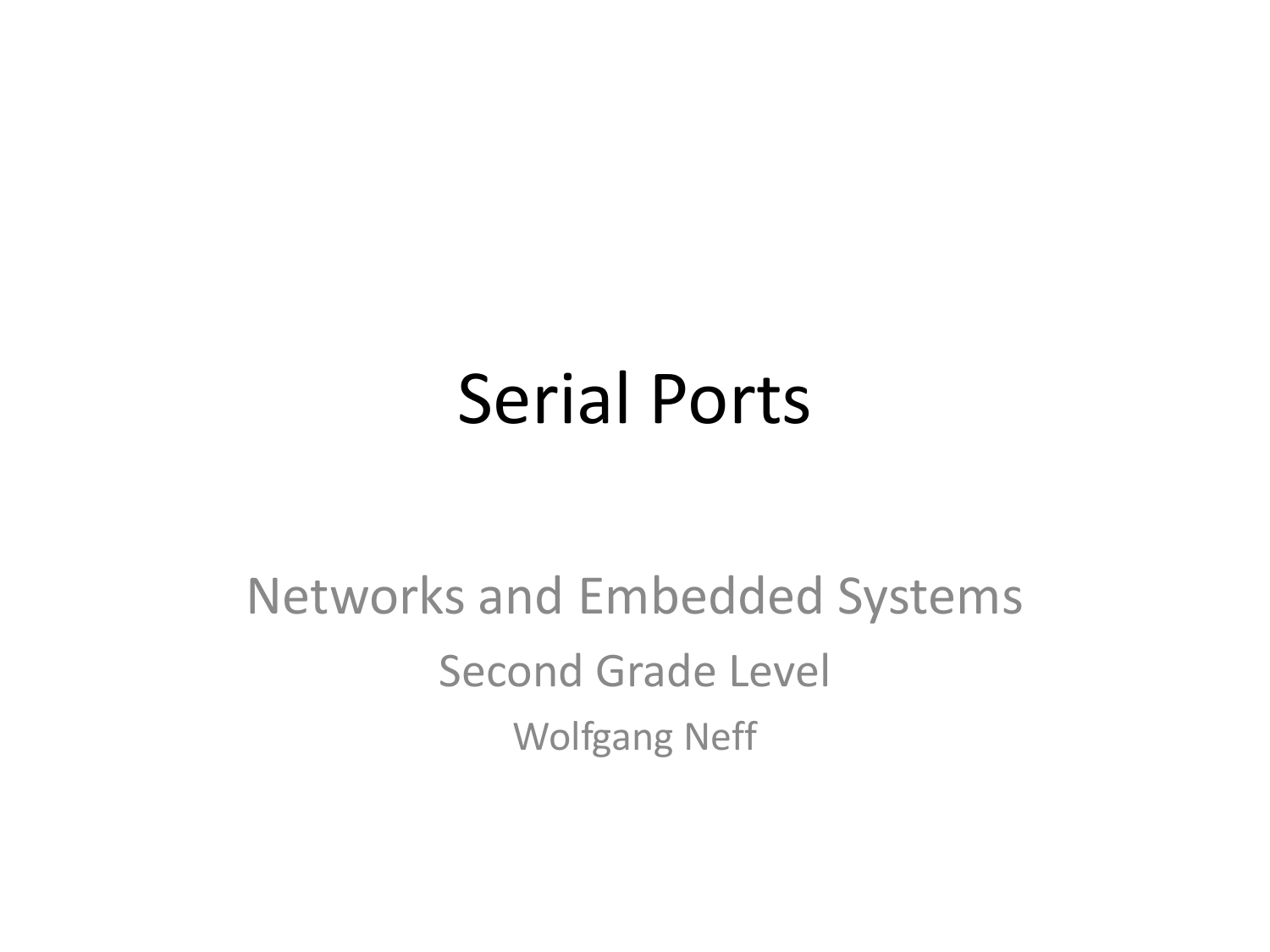#### Serial Ports

#### Networks and Embedded Systems Second Grade Level Wolfgang Neff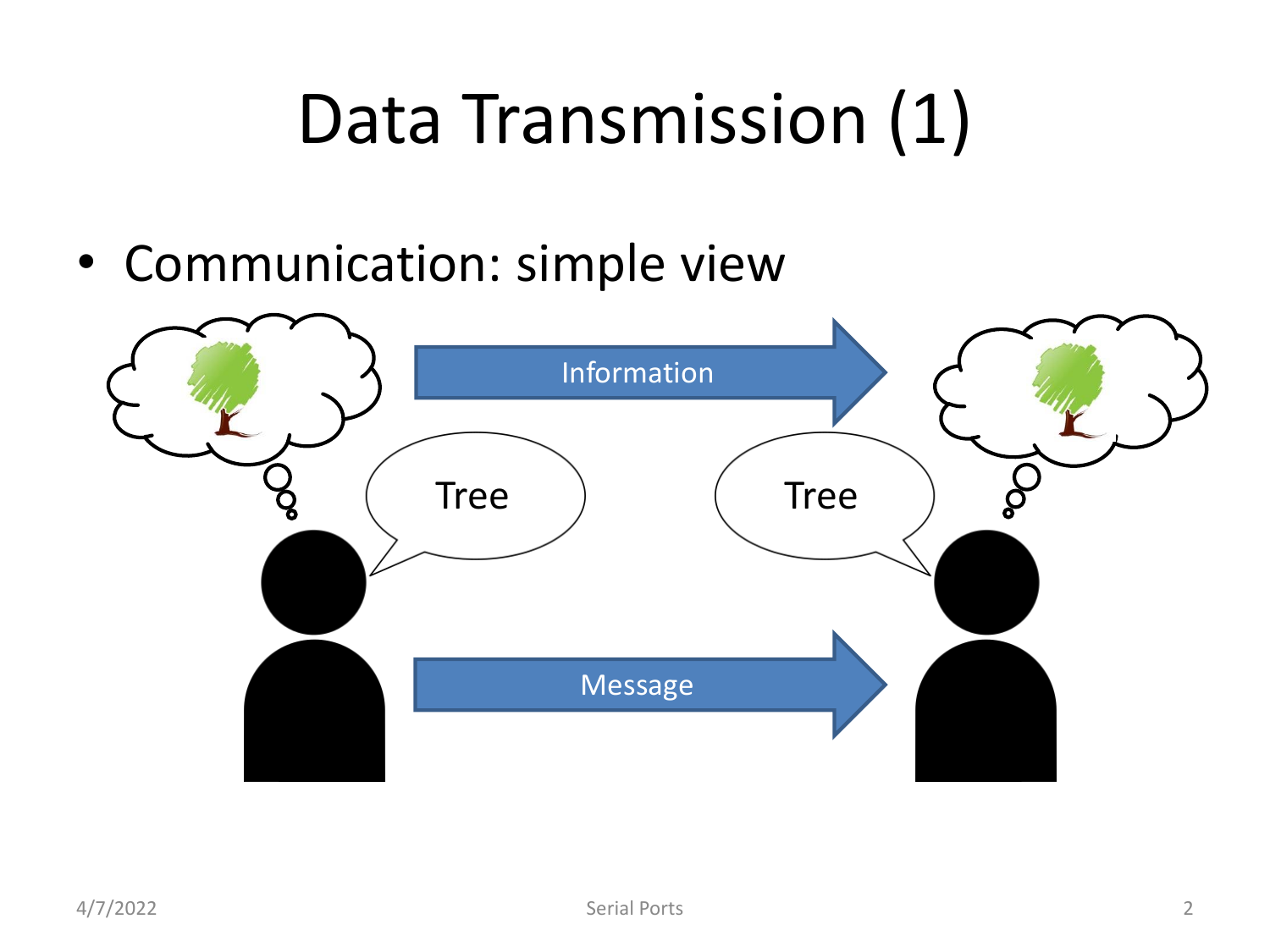#### Data Transmission (1)

• Communication: simple view

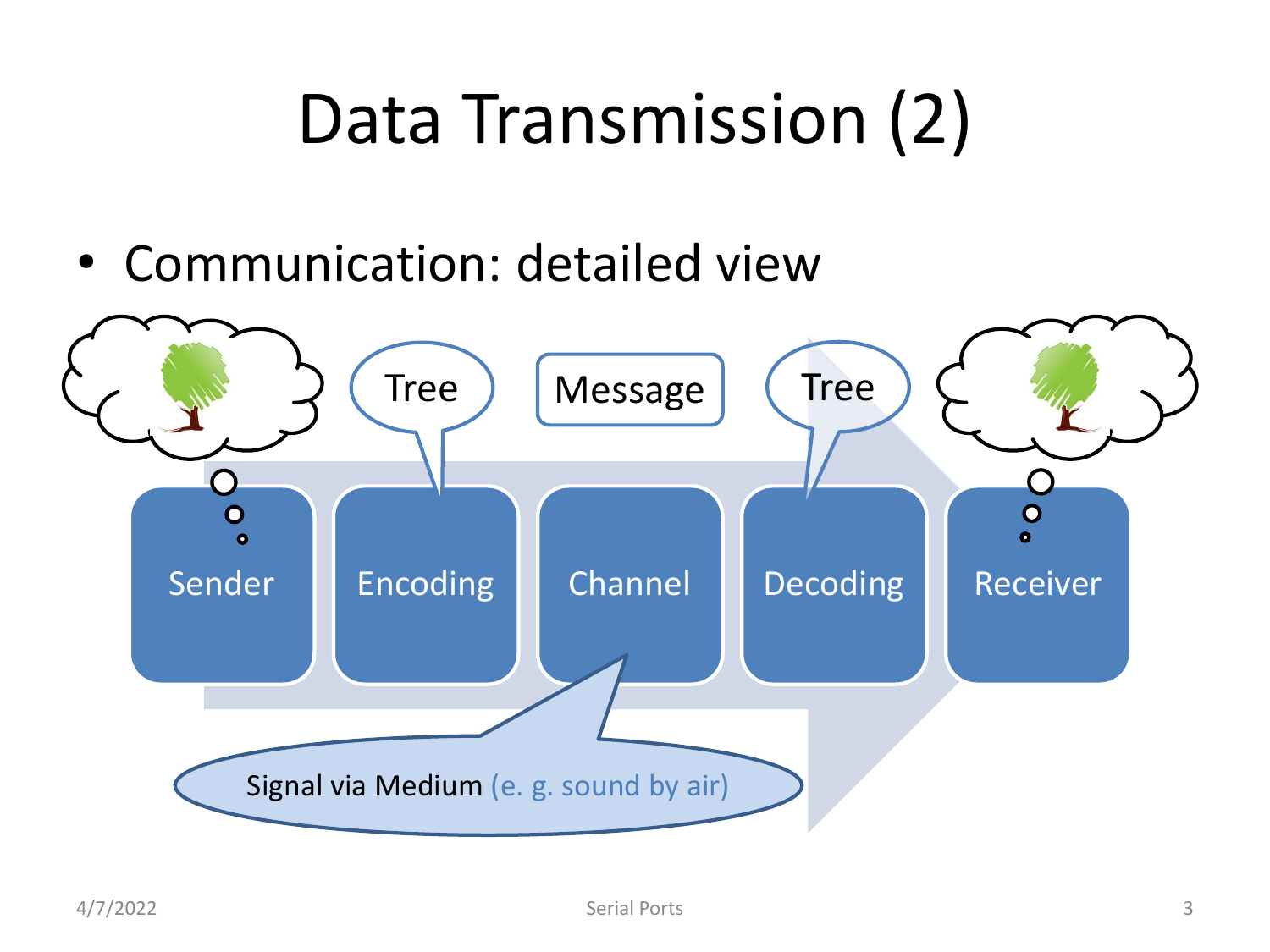#### Data Transmission (2)

• Communication: detailed view

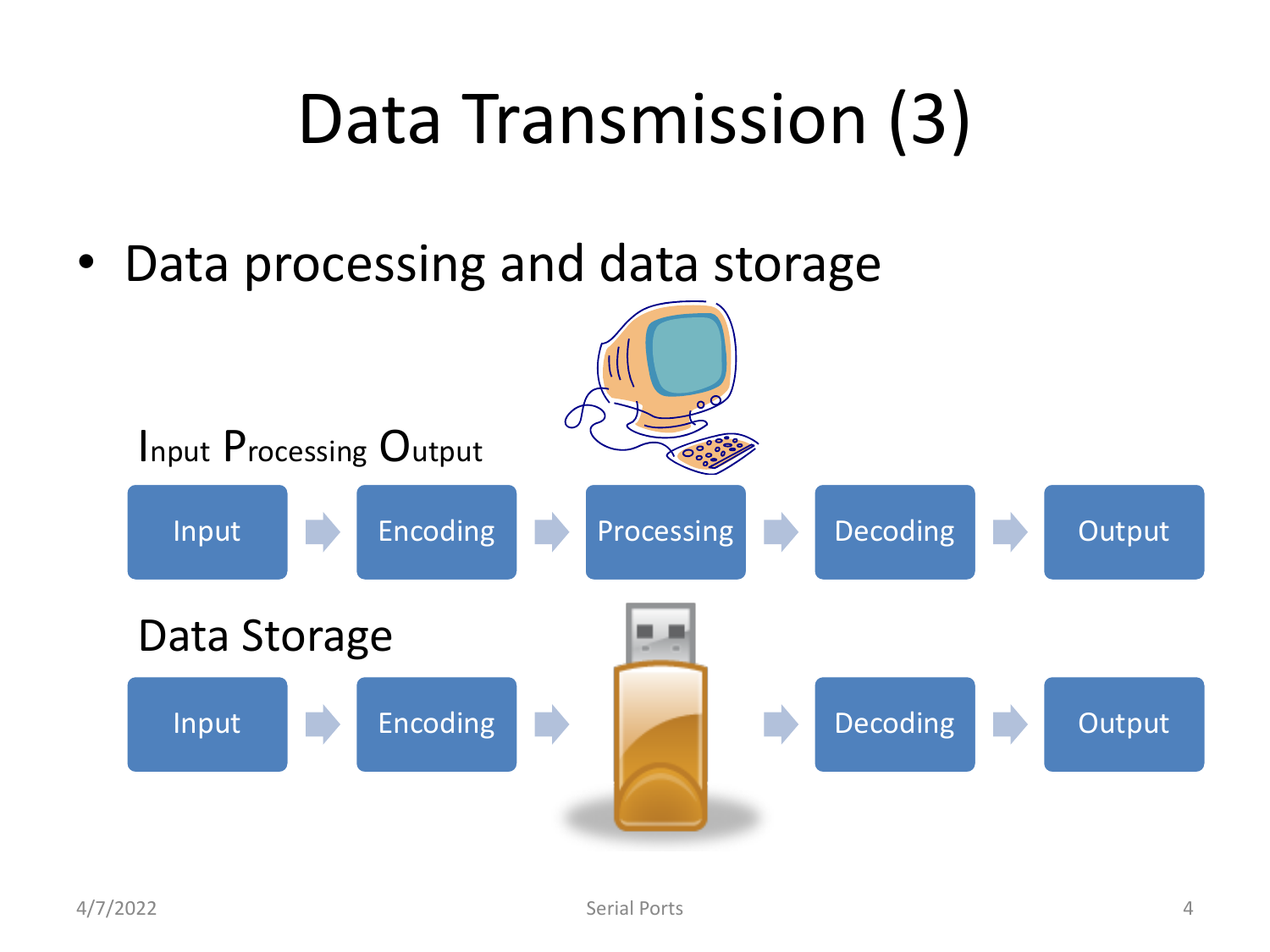#### Data Transmission (3)

• Data processing and data storage

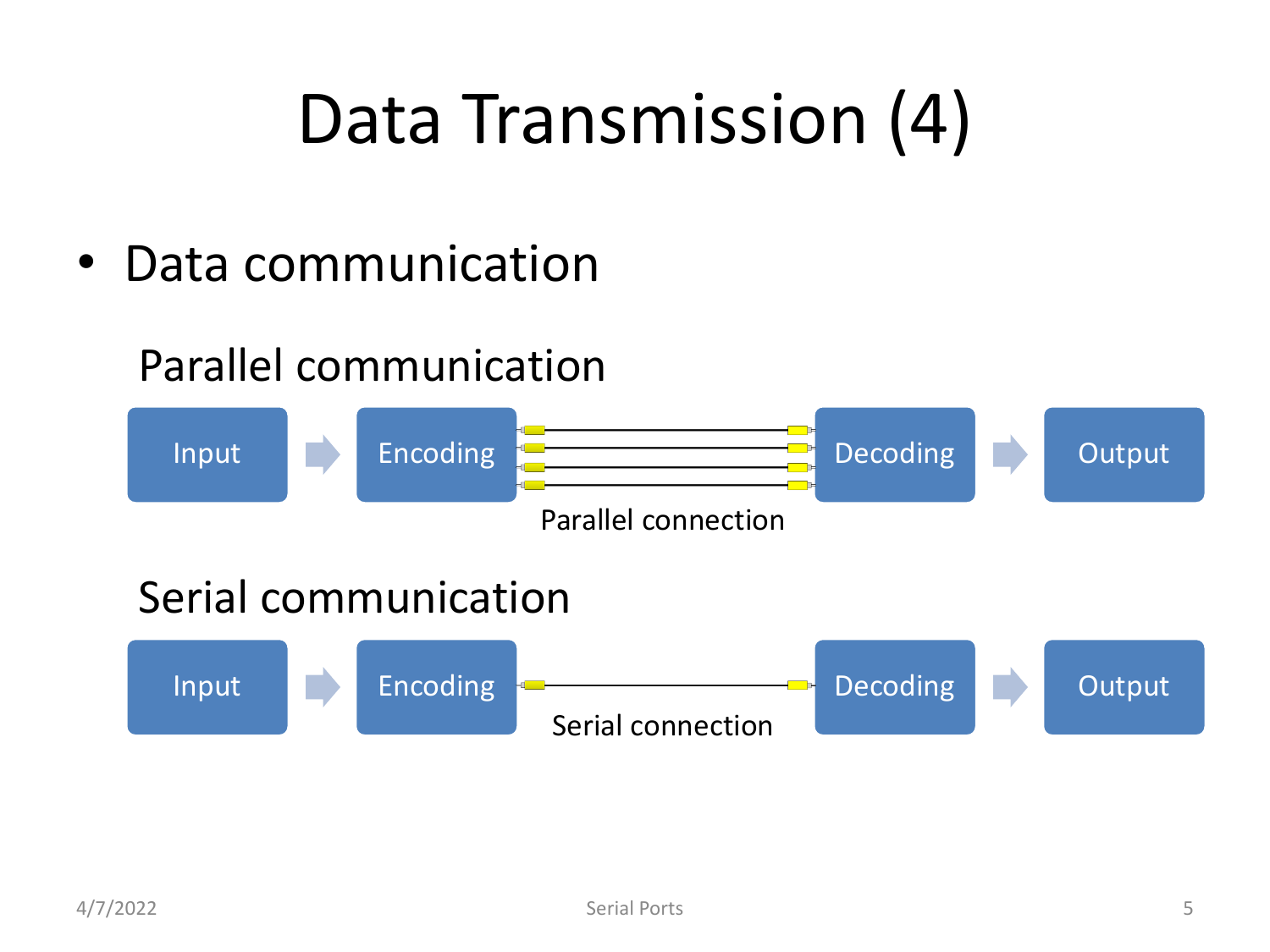#### Data Transmission (4)

• Data communication

#### Parallel communication

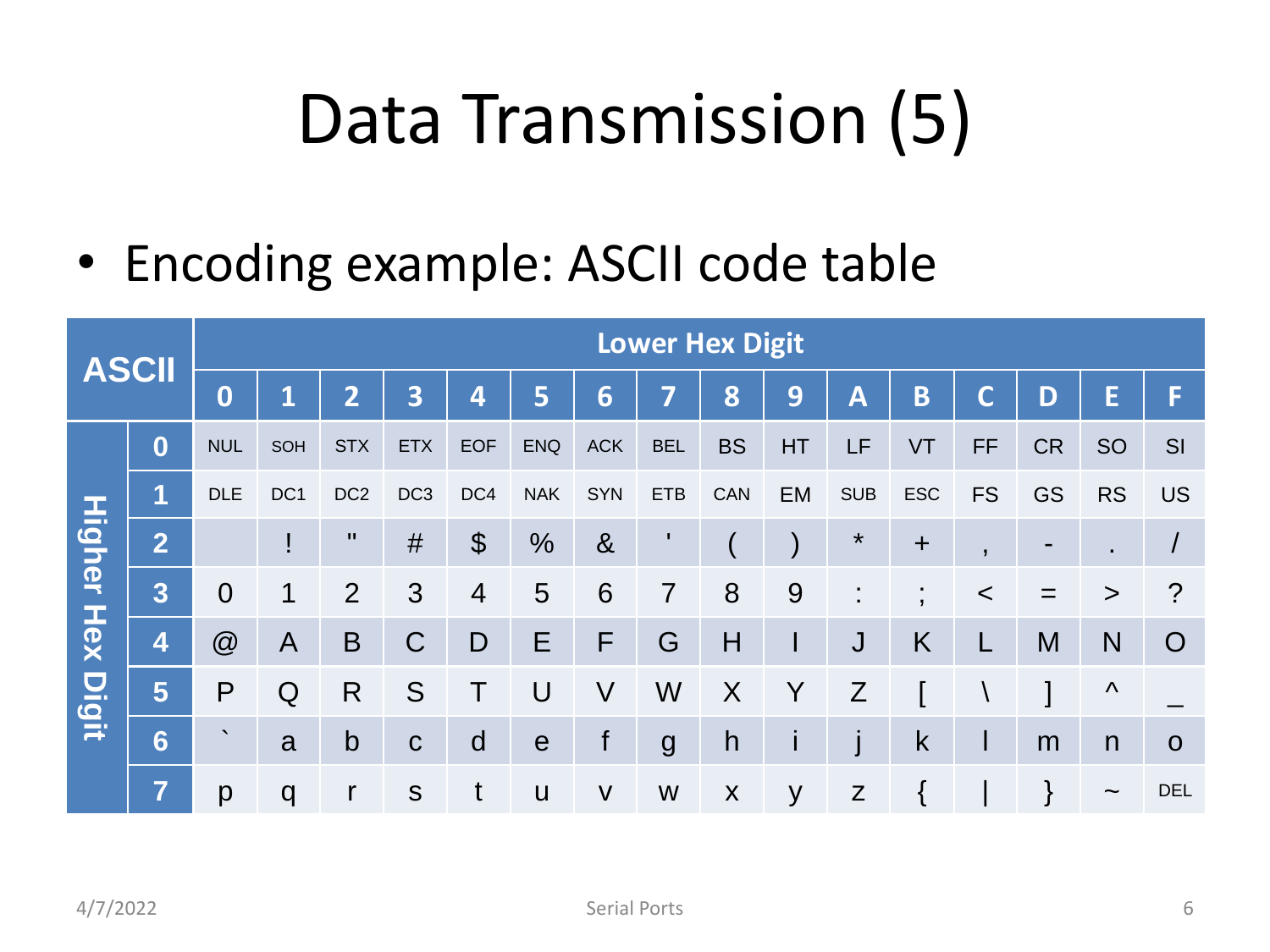#### Data Transmission (5)

• Encoding example: ASCII code table

| <b>ASCII</b>                  |                | <b>Lower Hex Digit</b> |                 |                 |                         |                       |               |              |                |           |    |                         |                     |                |           |                |                |
|-------------------------------|----------------|------------------------|-----------------|-----------------|-------------------------|-----------------------|---------------|--------------|----------------|-----------|----|-------------------------|---------------------|----------------|-----------|----------------|----------------|
|                               |                | $\boldsymbol{0}$       | 1               | 2               | $\overline{\mathbf{3}}$ | 4                     | 5             | 6            | 7              | 8         | 9  | $\overline{\mathsf{A}}$ | Β                   | C              | D         | E              | F              |
| <b>Higher</b><br>Hex<br>Digit | $\bf{0}$       | <b>NUL</b>             | SOH             | <b>STX</b>      | <b>ETX</b>              | <b>EOF</b>            | <b>ENQ</b>    | <b>ACK</b>   | <b>BEL</b>     | <b>BS</b> | HT | LF                      | VT                  | <b>FF</b>      | <b>CR</b> | <b>SO</b>      | <b>SI</b>      |
|                               | $\mathbf 1$    | <b>DLE</b>             | DC <sub>1</sub> | DC <sub>2</sub> | DC <sub>3</sub>         | DC4                   | <b>NAK</b>    | <b>SYN</b>   | <b>ETB</b>     | CAN       | EM | <b>SUB</b>              | ESC                 | <b>FS</b>      | <b>GS</b> | <b>RS</b>      | <b>US</b>      |
|                               | 2              |                        |                 | $\mathbf{H}$    | #                       | $\boldsymbol{\theta}$ | $\frac{0}{0}$ | 8            |                |           |    | $\star$                 | $\ddot{}$           | $\overline{ }$ | -         | $\blacksquare$ |                |
|                               | $\overline{3}$ | $\overline{0}$         | 1               | $\overline{2}$  | 3                       | $\overline{4}$        | 5             | 6            | $\overline{7}$ | 8         | 9  |                         | ٠<br>$\overline{ }$ | $\,<$          | $=$       | $\geq$         | $\cdot$        |
|                               | 4              | @                      | $\overline{A}$  | $\mathsf B$     | $\mathsf C$             | D                     | E             | F            | G              | Η         |    | J                       | K                   | L              | M         | N              | $\overline{O}$ |
|                               | $5\phantom{1}$ | P                      | Q               | R               | S                       |                       | U             | V            | W              | X         | Y  | Z                       |                     |                |           | Λ              |                |
|                               | 6              | $\cdot$                | a               | $\mathsf b$     | $\mathbf C$             | d                     | $\mathbf e$   | f            | $\mathbf{g}$   | h         |    |                         | k                   | I              | m         | n              | $\mathbf O$    |
|                               | 7              | p                      | q               | $\mathsf{r}$    | S                       | t                     | U             | $\mathsf{V}$ | W              | X         | y  | $\mathsf Z$             |                     |                |           | $\tilde{}$     | <b>DEL</b>     |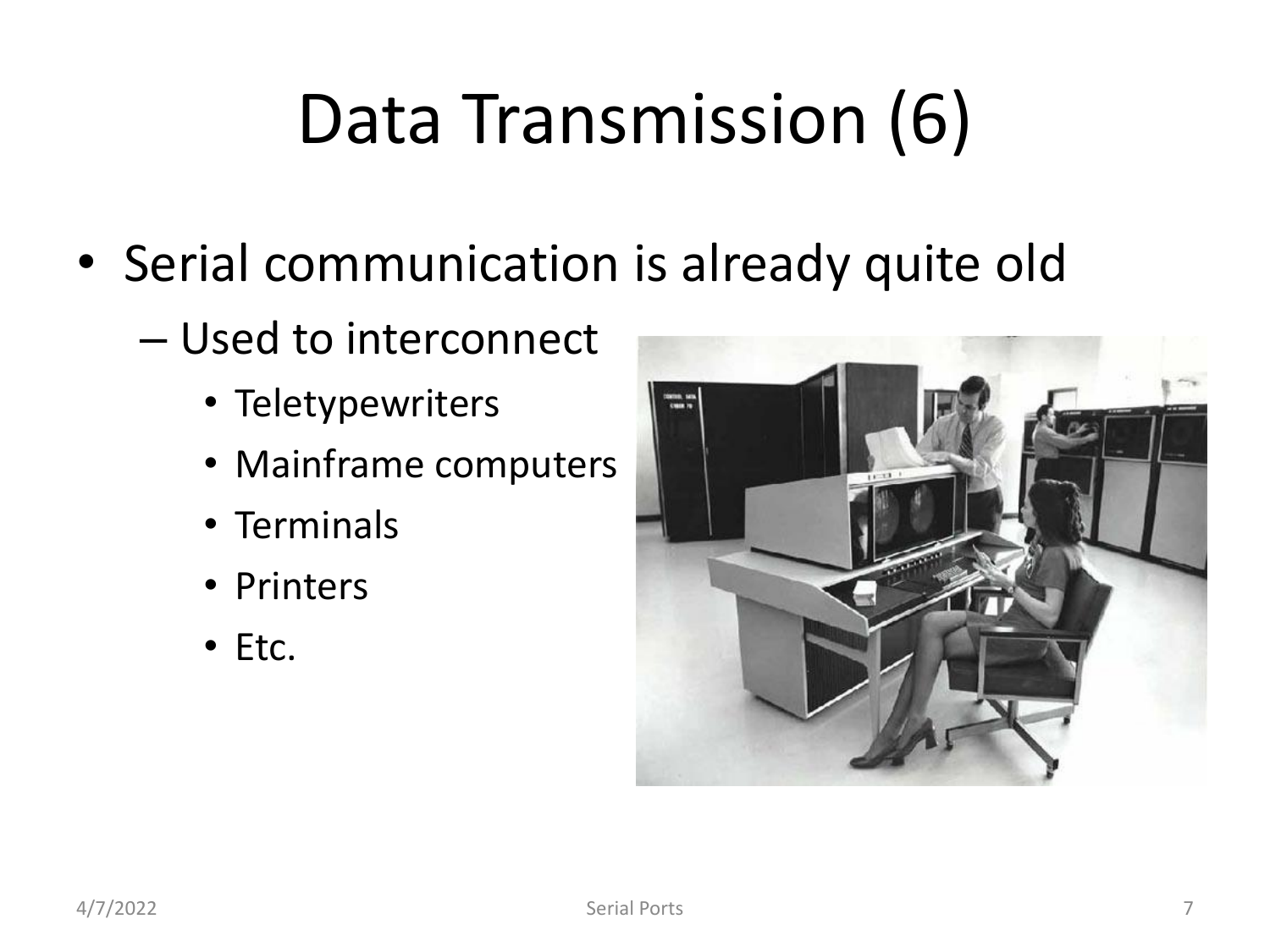## Data Transmission (6)

- Serial communication is already quite old
	- Used to interconnect
		- Teletypewriters
		- Mainframe computers
		- Terminals
		- Printers
		- Etc.

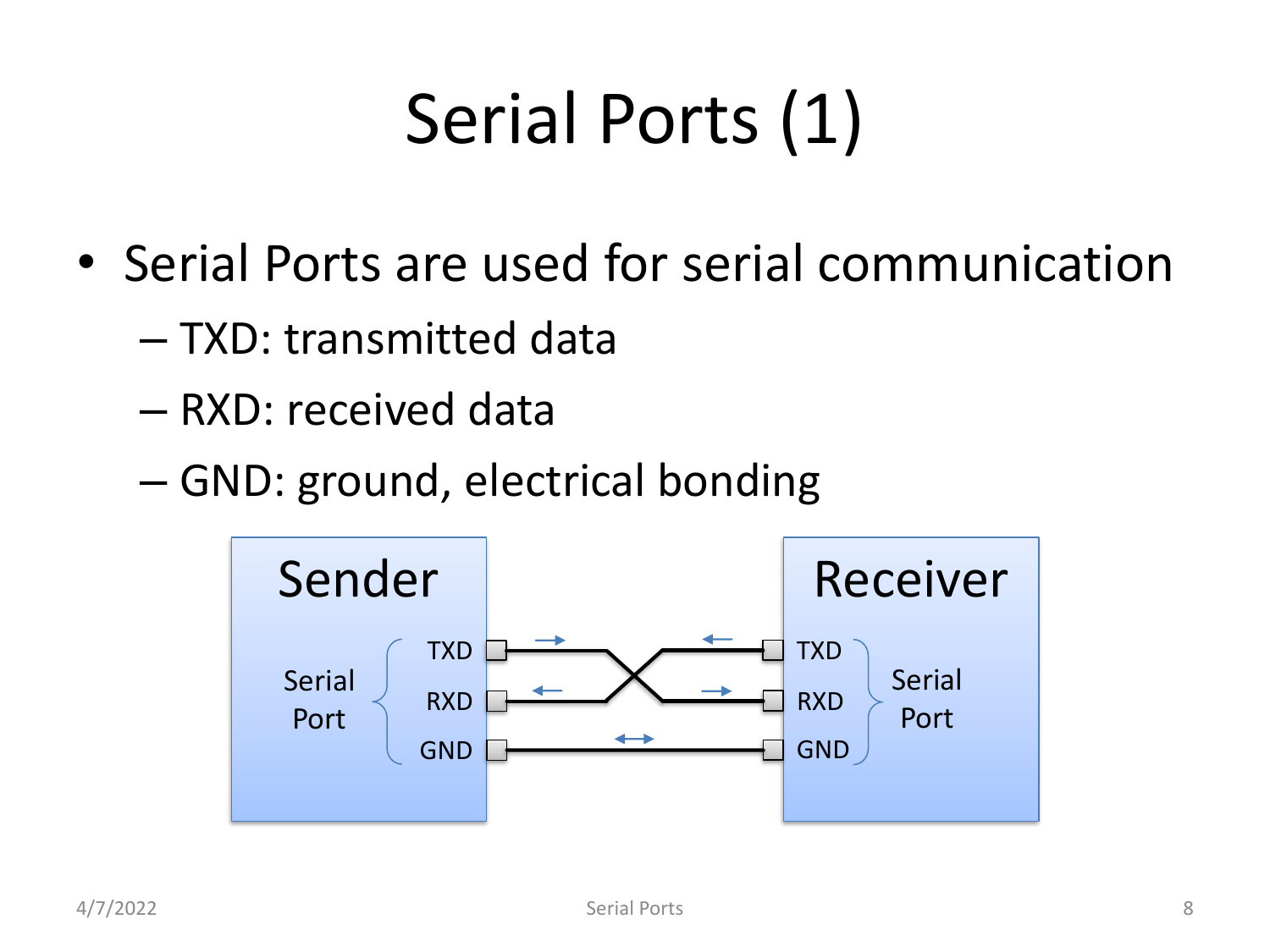## Serial Ports (1)

- Serial Ports are used for serial communication
	- TXD: transmitted data
	- RXD: received data
	- GND: ground, electrical bonding

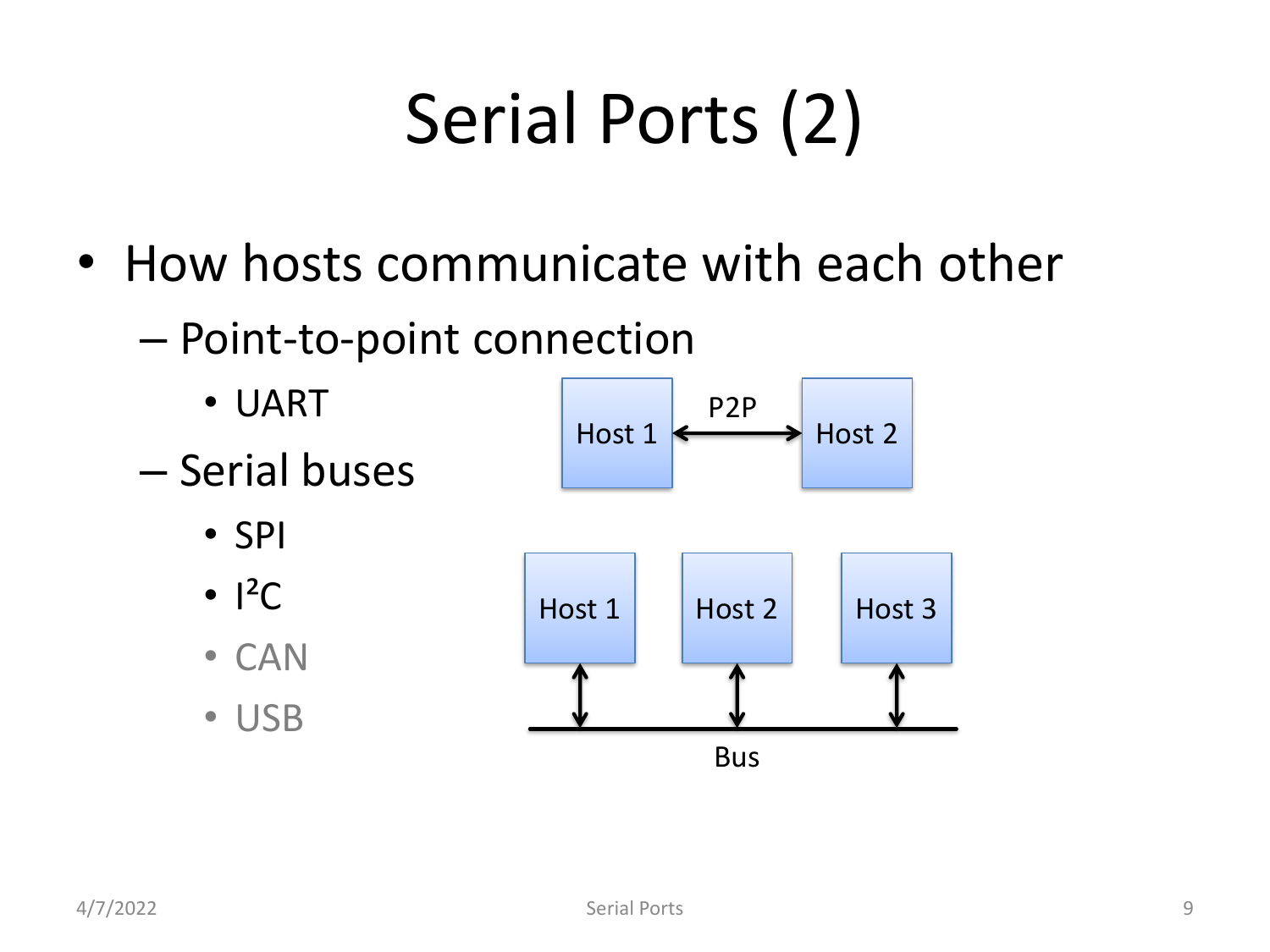# Serial Ports (2)

- How hosts communicate with each other
	- Point-to-point connection
		- UART
	- Serial buses
		- SPI
		- $\cdot$   $\vert^2C$
		- CAN
		- USB



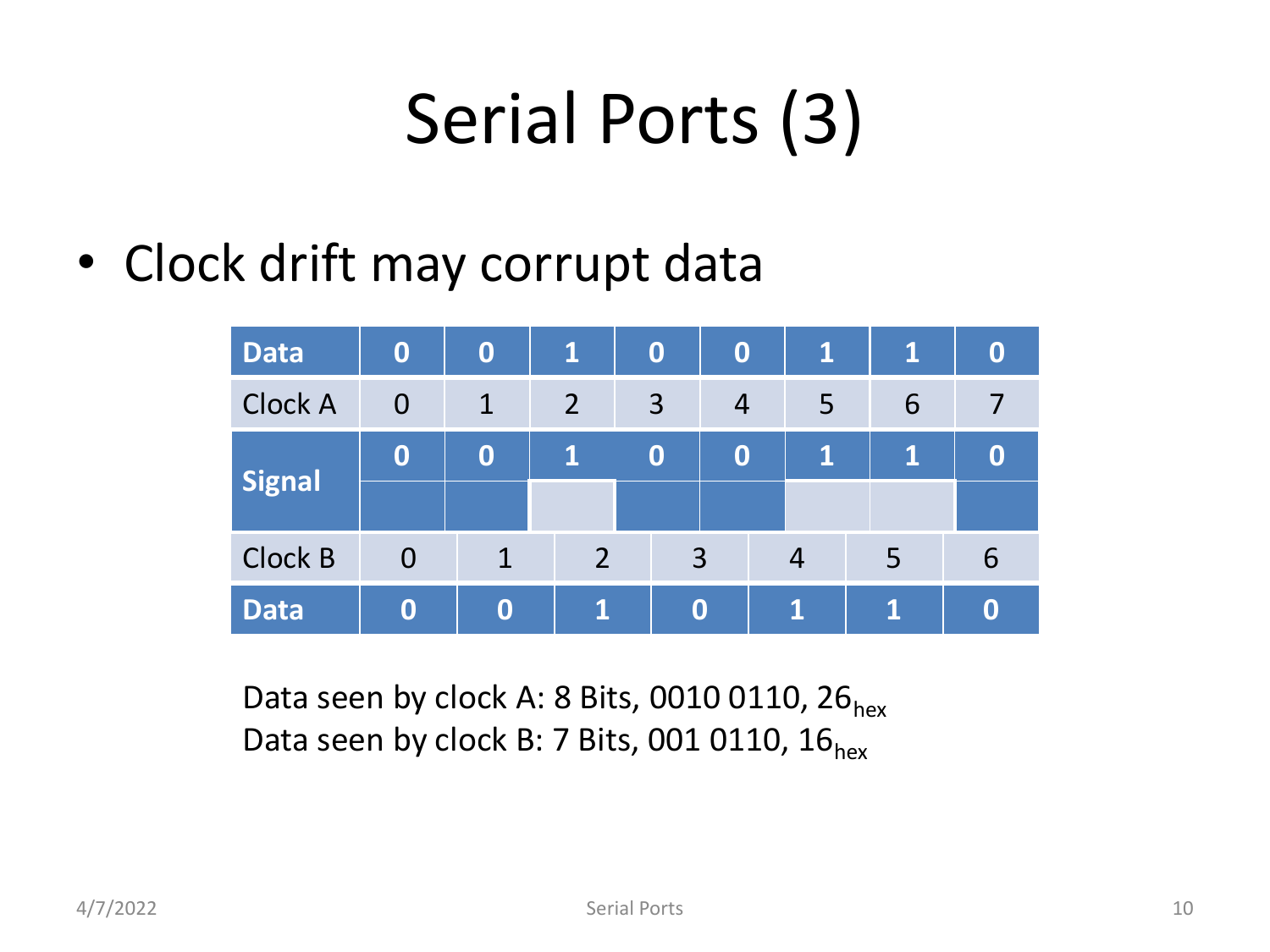#### Serial Ports (3)

• Clock drift may corrupt data

| <b>Data</b>    | $\bf{0}$                             | $\bf{0}$     | $\mathbf{1}$   | $\bf{0}$ | $\bf{0}$       | $\mathbf{1}$ | 1 | $\boldsymbol{0}$ |
|----------------|--------------------------------------|--------------|----------------|----------|----------------|--------------|---|------------------|
| <b>Clock A</b> | $\bf{0}$                             | $\mathbf{1}$ | $\overline{2}$ | 3        | $\overline{4}$ | 5            | 6 |                  |
| <b>Signal</b>  | $\bf{0}$                             | $\bf{0}$     | 1              |          | $\bf{0}$       | 1            | 1 | $\boldsymbol{0}$ |
| Clock B        | $\overline{O}$                       | $\mathbf 1$  | $\overline{2}$ |          | $\overline{3}$ |              | 5 | 6                |
| <b>Data</b>    | $\bf{0}$<br>$\mathbf{1}$<br>$\bf{0}$ |              |                | 0        | 1              | A            | 0 |                  |

Data seen by clock A: 8 Bits, 0010 0110, 26 $_{hex}$ Data seen by clock B: 7 Bits, 001 0110,  $16<sub>hex</sub>$